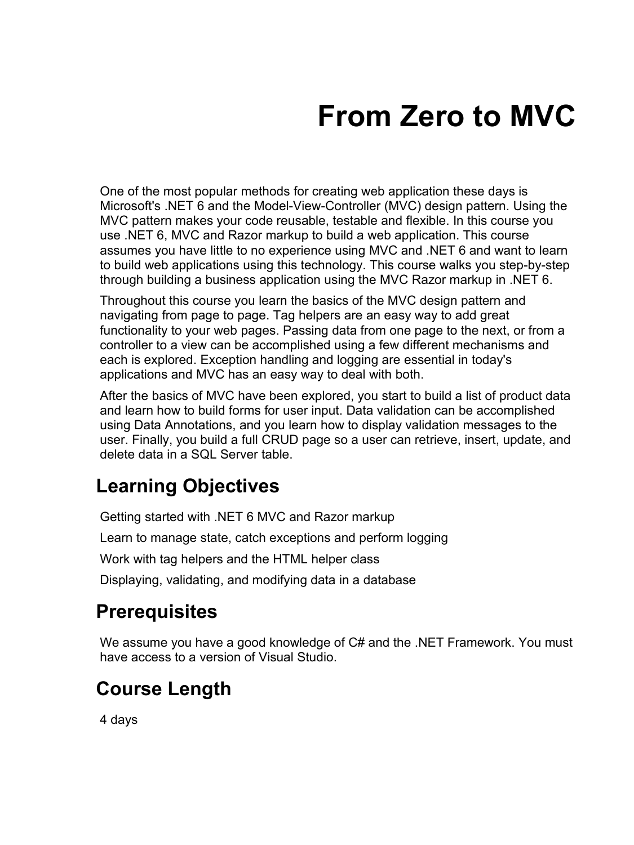# **From Zero to MVC**

One of the most popular methods for creating web application these days is Microsoft's .NET 6 and the Model-View-Controller (MVC) design pattern. Using the MVC pattern makes your code reusable, testable and flexible. In this course you use .NET 6, MVC and Razor markup to build a web application. This course assumes you have little to no experience using MVC and .NET 6 and want to learn to build web applications using this technology. This course walks you step-by-step through building a business application using the MVC Razor markup in .NET 6.

Throughout this course you learn the basics of the MVC design pattern and navigating from page to page. Tag helpers are an easy way to add great functionality to your web pages. Passing data from one page to the next, or from a controller to a view can be accomplished using a few different mechanisms and each is explored. Exception handling and logging are essential in today's applications and MVC has an easy way to deal with both.

After the basics of MVC have been explored, you start to build a list of product data and learn how to build forms for user input. Data validation can be accomplished using Data Annotations, and you learn how to display validation messages to the user. Finally, you build a full CRUD page so a user can retrieve, insert, update, and delete data in a SQL Server table.

#### **Learning Objectives**

Getting started with .NET 6 MVC and Razor markup

Learn to manage state, catch exceptions and perform logging

Work with tag helpers and the HTML helper class

Displaying, validating, and modifying data in a database

#### **Prerequisites**

We assume you have a good knowledge of C# and the .NET Framework. You must have access to a version of Visual Studio.

#### **Course Length**

4 days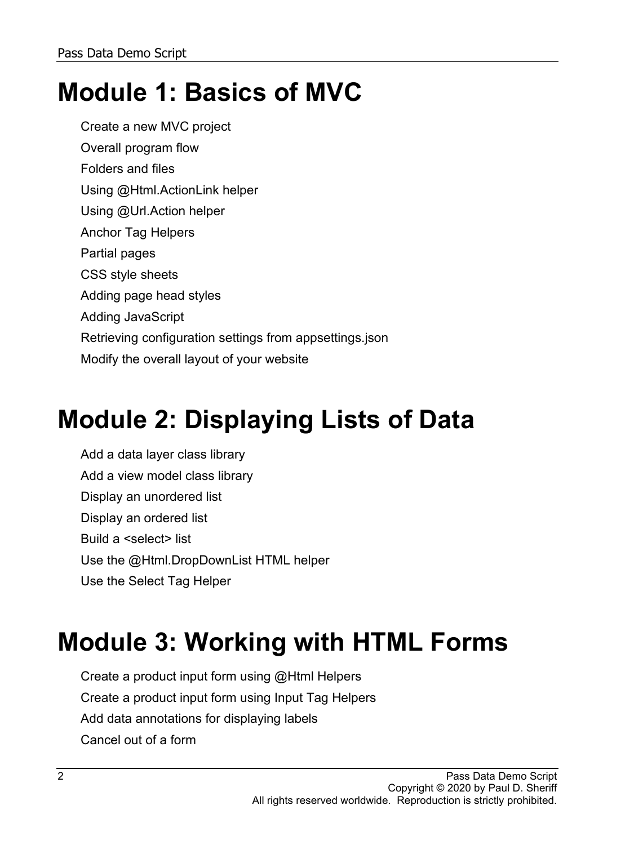# **Module 1: Basics of MVC**

Create a new MVC project Overall program flow Folders and files Using @Html.ActionLink helper Using @Url.Action helper Anchor Tag Helpers Partial pages CSS style sheets Adding page head styles Adding JavaScript Retrieving configuration settings from appsettings.json Modify the overall layout of your website

# **Module 2: Displaying Lists of Data**

Add a data layer class library Add a view model class library Display an unordered list Display an ordered list Build a <select> list Use the @Html.DropDownList HTML helper Use the Select Tag Helper

### **Module 3: Working with HTML Forms**

Create a product input form using @Html Helpers Create a product input form using Input Tag Helpers Add data annotations for displaying labels Cancel out of a form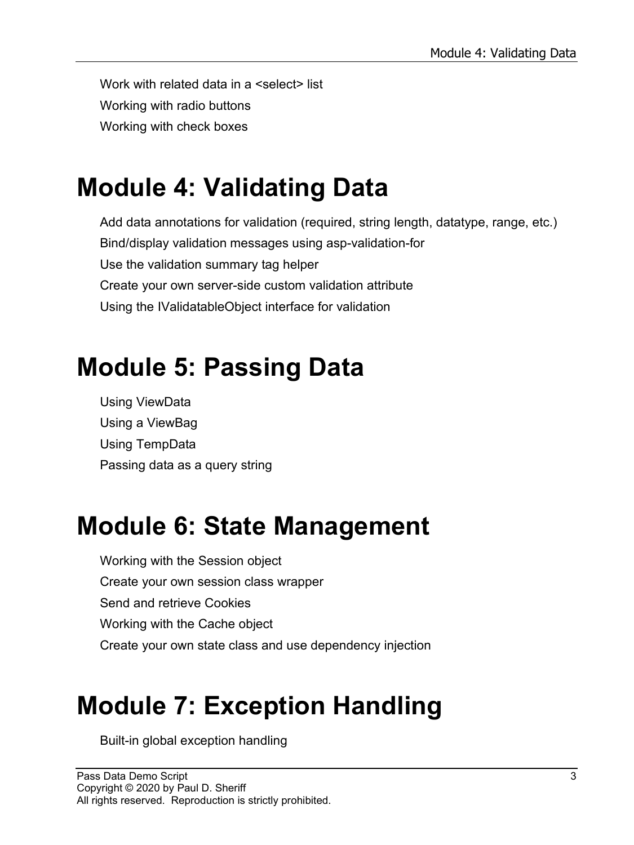Work with related data in a <select> list Working with radio buttons Working with check boxes

#### **Module 4: Validating Data**

Add data annotations for validation (required, string length, datatype, range, etc.) Bind/display validation messages using asp-validation-for Use the validation summary tag helper Create your own server-side custom validation attribute Using the IValidatableObject interface for validation

#### **Module 5: Passing Data**

Using ViewData Using a ViewBag Using TempData Passing data as a query string

### **Module 6: State Management**

Working with the Session object Create your own session class wrapper Send and retrieve Cookies Working with the Cache object Create your own state class and use dependency injection

### **Module 7: Exception Handling**

Built-in global exception handling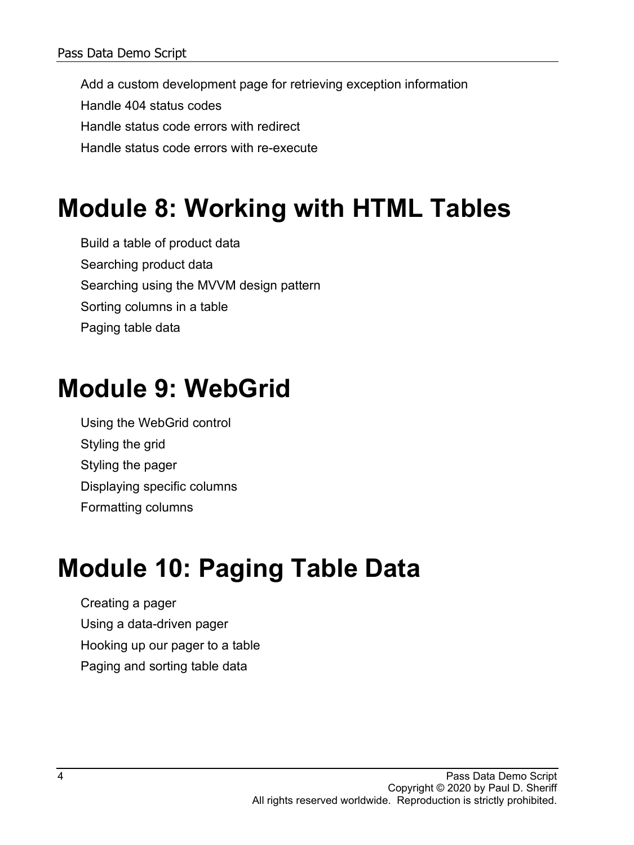Add a custom development page for retrieving exception information Handle 404 status codes Handle status code errors with redirect Handle status code errors with re-execute

#### **Module 8: Working with HTML Tables**

Build a table of product data Searching product data Searching using the MVVM design pattern Sorting columns in a table Paging table data

#### **Module 9: WebGrid**

Using the WebGrid control Styling the grid Styling the pager Displaying specific columns Formatting columns

# **Module 10: Paging Table Data**

Creating a pager Using a data-driven pager Hooking up our pager to a table Paging and sorting table data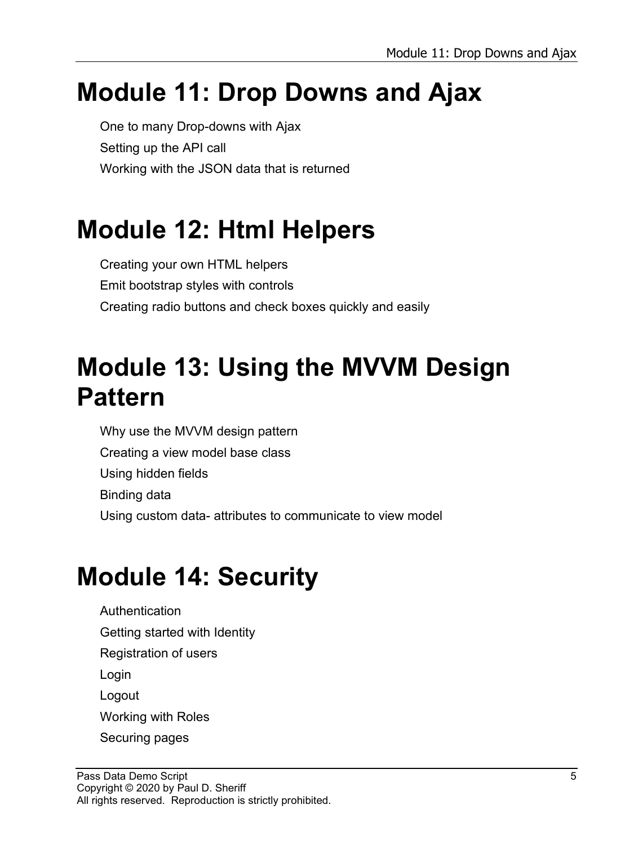#### **Module 11: Drop Downs and Ajax**

One to many Drop-downs with Ajax Setting up the API call Working with the JSON data that is returned

### **Module 12: Html Helpers**

Creating your own HTML helpers Emit bootstrap styles with controls Creating radio buttons and check boxes quickly and easily

#### **Module 13: Using the MVVM Design Pattern**

Why use the MVVM design pattern Creating a view model base class Using hidden fields Binding data Using custom data- attributes to communicate to view model

### **Module 14: Security**

Authentication Getting started with Identity Registration of users Login Logout Working with Roles Securing pages